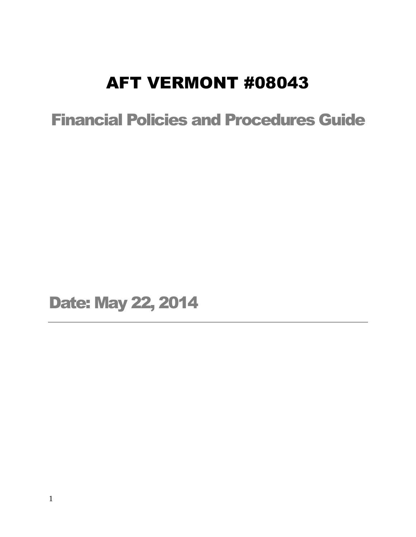# AFT VERMONT #08043

Financial Policies and Procedures Guide

Date: May 22, 2014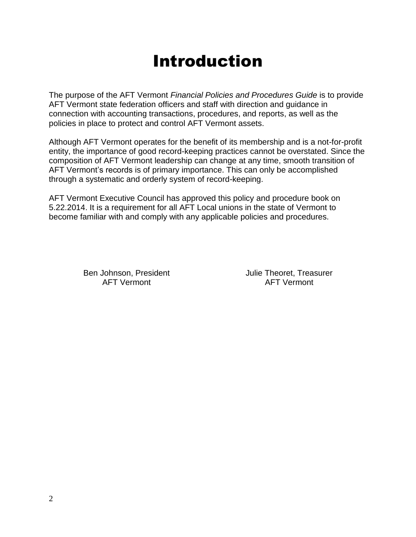# Introduction

The purpose of the AFT Vermont *Financial Policies and Procedures Guide* is to provide AFT Vermont state federation officers and staff with direction and guidance in connection with accounting transactions, procedures, and reports, as well as the policies in place to protect and control AFT Vermont assets.

Although AFT Vermont operates for the benefit of its membership and is a not-for-profit entity, the importance of good record-keeping practices cannot be overstated. Since the composition of AFT Vermont leadership can change at any time, smooth transition of AFT Vermont's records is of primary importance. This can only be accomplished through a systematic and orderly system of record-keeping.

AFT Vermont Executive Council has approved this policy and procedure book on 5.22.2014. It is a requirement for all AFT Local unions in the state of Vermont to become familiar with and comply with any applicable policies and procedures.

Ben Johnson, President Theoret, Treasurer AFT Vermont AFT Vermont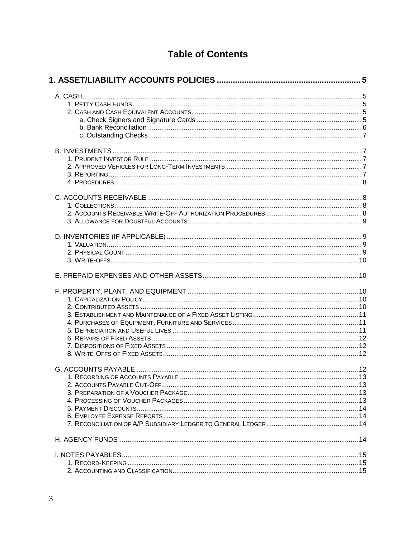# **Table of Contents**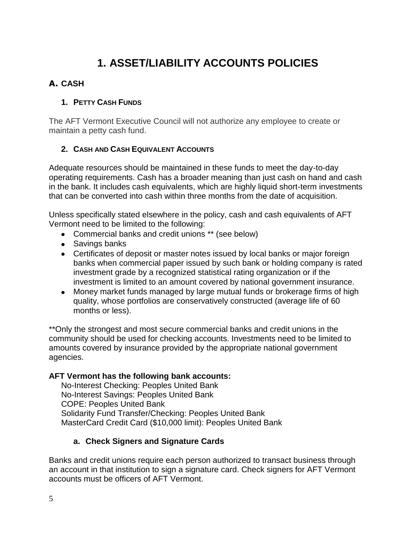# **1. ASSET/LIABILITY ACCOUNTS POLICIES**

# <span id="page-4-1"></span><span id="page-4-0"></span>**A. CASH**

# <span id="page-4-2"></span>**1. PETTY CASH FUNDS**

The AFT Vermont Executive Council will not authorize any employee to create or maintain a petty cash fund.

#### <span id="page-4-3"></span>**2. CASH AND CASH EQUIVALENT ACCOUNTS**

Adequate resources should be maintained in these funds to meet the day-to-day operating requirements. Cash has a broader meaning than just cash on hand and cash in the bank. It includes cash equivalents, which are highly liquid short-term investments that can be converted into cash within three months from the date of acquisition.

Unless specifically stated elsewhere in the policy, cash and cash equivalents of AFT Vermont need to be limited to the following:

- Commercial banks and credit unions \*\* (see below)
- Savings banks
- Certificates of deposit or master notes issued by local banks or major foreign banks when commercial paper issued by such bank or holding company is rated investment grade by a recognized statistical rating organization or if the investment is limited to an amount covered by national government insurance.
- Money market funds managed by large mutual funds or brokerage firms of high quality, whose portfolios are conservatively constructed (average life of 60 months or less).

\*\*Only the strongest and most secure commercial banks and credit unions in the community should be used for checking accounts. Investments need to be limited to amounts covered by insurance provided by the appropriate national government agencies.

# **AFT Vermont has the following bank accounts:**

No-Interest Checking: Peoples United Bank No-Interest Savings: Peoples United Bank COPE: Peoples United Bank Solidarity Fund Transfer/Checking: Peoples United Bank MasterCard Credit Card (\$10,000 limit): Peoples United Bank

# **a. Check Signers and Signature Cards**

<span id="page-4-4"></span>Banks and credit unions require each person authorized to transact business through an account in that institution to sign a signature card. Check signers for AFT Vermont accounts must be officers of AFT Vermont.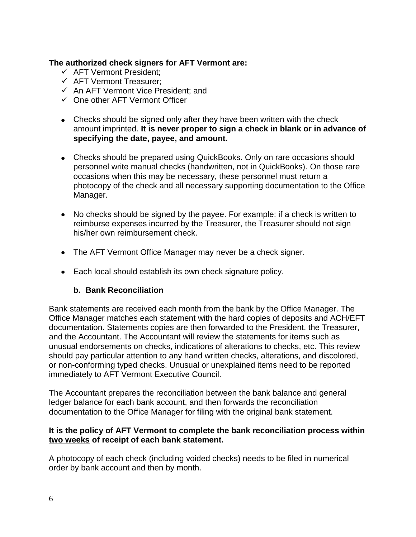#### **The authorized check signers for AFT Vermont are:**

- $\checkmark$  AFT Vermont President;
- $\checkmark$  AFT Vermont Treasurer:
- $\checkmark$  An AFT Vermont Vice President: and
- $\checkmark$  One other AFT Vermont Officer
- Checks should be signed only after they have been written with the check amount imprinted. **It is never proper to sign a check in blank or in advance of specifying the date, payee, and amount.**
- Checks should be prepared using QuickBooks. Only on rare occasions should personnel write manual checks (handwritten, not in QuickBooks). On those rare occasions when this may be necessary, these personnel must return a photocopy of the check and all necessary supporting documentation to the Office Manager.
- No checks should be signed by the payee. For example: if a check is written to reimburse expenses incurred by the Treasurer, the Treasurer should not sign his/her own reimbursement check.
- The AFT Vermont Office Manager may never be a check signer.
- Each local should establish its own check signature policy.

#### **b. Bank Reconciliation**

<span id="page-5-0"></span>Bank statements are received each month from the bank by the Office Manager. The Office Manager matches each statement with the hard copies of deposits and ACH/EFT documentation. Statements copies are then forwarded to the President, the Treasurer, and the Accountant. The Accountant will review the statements for items such as unusual endorsements on checks, indications of alterations to checks, etc. This review should pay particular attention to any hand written checks, alterations, and discolored, or non-conforming typed checks. Unusual or unexplained items need to be reported immediately to AFT Vermont Executive Council.

The Accountant prepares the reconciliation between the bank balance and general ledger balance for each bank account, and then forwards the reconciliation documentation to the Office Manager for filing with the original bank statement.

#### **It is the policy of AFT Vermont to complete the bank reconciliation process within two weeks of receipt of each bank statement.**

A photocopy of each check (including voided checks) needs to be filed in numerical order by bank account and then by month.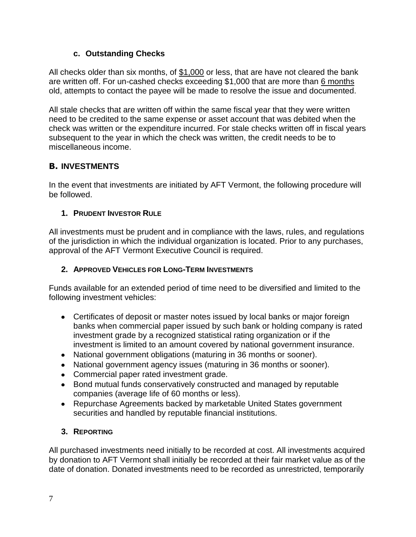#### **c. Outstanding Checks**

<span id="page-6-0"></span>All checks older than six months, of \$1,000 or less, that are have not cleared the bank are written off. For un-cashed checks exceeding \$1,000 that are more than 6 months old, attempts to contact the payee will be made to resolve the issue and documented.

All stale checks that are written off within the same fiscal year that they were written need to be credited to the same expense or asset account that was debited when the check was written or the expenditure incurred. For stale checks written off in fiscal years subsequent to the year in which the check was written, the credit needs to be to miscellaneous income.

# <span id="page-6-1"></span>**B. INVESTMENTS**

In the event that investments are initiated by AFT Vermont, the following procedure will be followed.

#### <span id="page-6-2"></span>**1. PRUDENT INVESTOR RULE**

All investments must be prudent and in compliance with the laws, rules, and regulations of the jurisdiction in which the individual organization is located. Prior to any purchases, approval of the AFT Vermont Executive Council is required.

## <span id="page-6-3"></span>**2. APPROVED VEHICLES FOR LONG-TERM INVESTMENTS**

Funds available for an extended period of time need to be diversified and limited to the following investment vehicles:

- Certificates of deposit or master notes issued by local banks or major foreign banks when commercial paper issued by such bank or holding company is rated investment grade by a recognized statistical rating organization or if the investment is limited to an amount covered by national government insurance.
- National government obligations (maturing in 36 months or sooner).
- National government agency issues (maturing in 36 months or sooner).
- Commercial paper rated investment grade.
- Bond mutual funds conservatively constructed and managed by reputable companies (average life of 60 months or less).
- Repurchase Agreements backed by marketable United States government securities and handled by reputable financial institutions.

# <span id="page-6-4"></span>**3. REPORTING**

All purchased investments need initially to be recorded at cost. All investments acquired by donation to AFT Vermont shall initially be recorded at their fair market value as of the date of donation. Donated investments need to be recorded as unrestricted, temporarily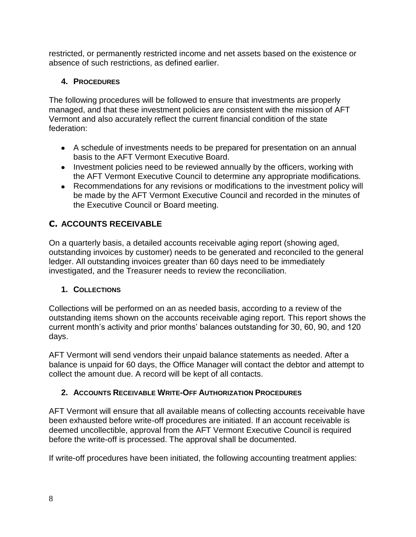restricted, or permanently restricted income and net assets based on the existence or absence of such restrictions, as defined earlier.

# <span id="page-7-0"></span>**4. PROCEDURES**

The following procedures will be followed to ensure that investments are properly managed, and that these investment policies are consistent with the mission of AFT Vermont and also accurately reflect the current financial condition of the state federation:

- A schedule of investments needs to be prepared for presentation on an annual basis to the AFT Vermont Executive Board.
- Investment policies need to be reviewed annually by the officers, working with the AFT Vermont Executive Council to determine any appropriate modifications.
- Recommendations for any revisions or modifications to the investment policy will be made by the AFT Vermont Executive Council and recorded in the minutes of the Executive Council or Board meeting.

# <span id="page-7-1"></span>**C. ACCOUNTS RECEIVABLE**

On a quarterly basis, a detailed accounts receivable aging report (showing aged, outstanding invoices by customer) needs to be generated and reconciled to the general ledger. All outstanding invoices greater than 60 days need to be immediately investigated, and the Treasurer needs to review the reconciliation.

# <span id="page-7-2"></span>**1. COLLECTIONS**

Collections will be performed on an as needed basis, according to a review of the outstanding items shown on the accounts receivable aging report. This report shows the current month's activity and prior months' balances outstanding for 30, 60, 90, and 120 days.

AFT Vermont will send vendors their unpaid balance statements as needed. After a balance is unpaid for 60 days, the Office Manager will contact the debtor and attempt to collect the amount due. A record will be kept of all contacts.

# <span id="page-7-3"></span>**2. ACCOUNTS RECEIVABLE WRITE-OFF AUTHORIZATION PROCEDURES**

AFT Vermont will ensure that all available means of collecting accounts receivable have been exhausted before write-off procedures are initiated. If an account receivable is deemed uncollectible, approval from the AFT Vermont Executive Council is required before the write-off is processed. The approval shall be documented.

If write-off procedures have been initiated, the following accounting treatment applies: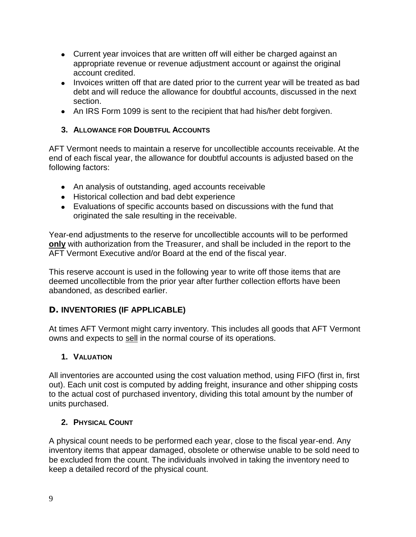- Current year invoices that are written off will either be charged against an appropriate revenue or revenue adjustment account or against the original account credited.
- Invoices written off that are dated prior to the current year will be treated as bad debt and will reduce the allowance for doubtful accounts, discussed in the next section.
- An IRS Form 1099 is sent to the recipient that had his/her debt forgiven.

#### <span id="page-8-0"></span>**3. ALLOWANCE FOR DOUBTFUL ACCOUNTS**

AFT Vermont needs to maintain a reserve for uncollectible accounts receivable. At the end of each fiscal year, the allowance for doubtful accounts is adjusted based on the following factors:

- An analysis of outstanding, aged accounts receivable
- Historical collection and bad debt experience
- Evaluations of specific accounts based on discussions with the fund that originated the sale resulting in the receivable.

Year-end adjustments to the reserve for uncollectible accounts will to be performed **only** with authorization from the Treasurer, and shall be included in the report to the AFT Vermont Executive and/or Board at the end of the fiscal year.

This reserve account is used in the following year to write off those items that are deemed uncollectible from the prior year after further collection efforts have been abandoned, as described earlier.

# <span id="page-8-1"></span>**D. INVENTORIES (IF APPLICABLE)**

At times AFT Vermont might carry inventory. This includes all goods that AFT Vermont owns and expects to sell in the normal course of its operations.

#### <span id="page-8-2"></span>**1. VALUATION**

All inventories are accounted using the cost valuation method, using FIFO (first in, first out). Each unit cost is computed by adding freight, insurance and other shipping costs to the actual cost of purchased inventory, dividing this total amount by the number of units purchased.

#### <span id="page-8-3"></span>**2. PHYSICAL COUNT**

A physical count needs to be performed each year, close to the fiscal year-end. Any inventory items that appear damaged, obsolete or otherwise unable to be sold need to be excluded from the count. The individuals involved in taking the inventory need to keep a detailed record of the physical count.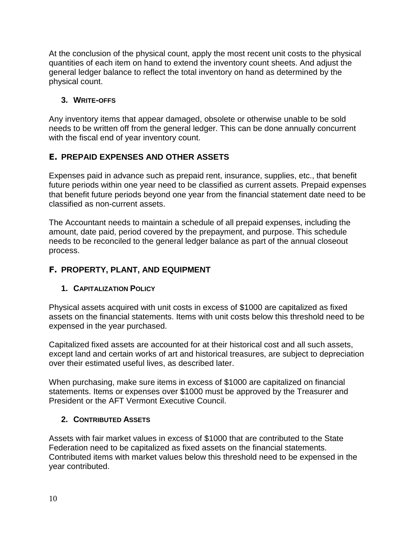At the conclusion of the physical count, apply the most recent unit costs to the physical quantities of each item on hand to extend the inventory count sheets. And adjust the general ledger balance to reflect the total inventory on hand as determined by the physical count.

# <span id="page-9-0"></span>**3. WRITE-OFFS**

Any inventory items that appear damaged, obsolete or otherwise unable to be sold needs to be written off from the general ledger. This can be done annually concurrent with the fiscal end of year inventory count.

# <span id="page-9-1"></span>**E. PREPAID EXPENSES AND OTHER ASSETS**

Expenses paid in advance such as prepaid rent, insurance, supplies, etc., that benefit future periods within one year need to be classified as current assets. Prepaid expenses that benefit future periods beyond one year from the financial statement date need to be classified as non-current assets.

The Accountant needs to maintain a schedule of all prepaid expenses, including the amount, date paid, period covered by the prepayment, and purpose. This schedule needs to be reconciled to the general ledger balance as part of the annual closeout process.

# <span id="page-9-2"></span>**F. PROPERTY, PLANT, AND EQUIPMENT**

# <span id="page-9-3"></span>**1. CAPITALIZATION POLICY**

Physical assets acquired with unit costs in excess of \$1000 are capitalized as fixed assets on the financial statements. Items with unit costs below this threshold need to be expensed in the year purchased.

Capitalized fixed assets are accounted for at their historical cost and all such assets, except land and certain works of art and historical treasures, are subject to depreciation over their estimated useful lives, as described later.

When purchasing, make sure items in excess of \$1000 are capitalized on financial statements. Items or expenses over \$1000 must be approved by the Treasurer and President or the AFT Vermont Executive Council.

# <span id="page-9-4"></span>**2. CONTRIBUTED ASSETS**

Assets with fair market values in excess of \$1000 that are contributed to the State Federation need to be capitalized as fixed assets on the financial statements. Contributed items with market values below this threshold need to be expensed in the year contributed.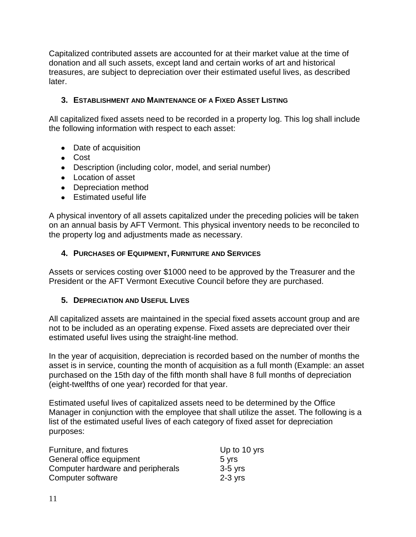Capitalized contributed assets are accounted for at their market value at the time of donation and all such assets, except land and certain works of art and historical treasures, are subject to depreciation over their estimated useful lives, as described later.

#### <span id="page-10-0"></span>**3. ESTABLISHMENT AND MAINTENANCE OF A FIXED ASSET LISTING**

All capitalized fixed assets need to be recorded in a property log. This log shall include the following information with respect to each asset:

- Date of acquisition
- Cost
- Description (including color, model, and serial number)
- Location of asset
- Depreciation method
- **Estimated useful life**

A physical inventory of all assets capitalized under the preceding policies will be taken on an annual basis by AFT Vermont. This physical inventory needs to be reconciled to the property log and adjustments made as necessary.

#### <span id="page-10-1"></span>**4. PURCHASES OF EQUIPMENT, FURNITURE AND SERVICES**

Assets or services costing over \$1000 need to be approved by the Treasurer and the President or the AFT Vermont Executive Council before they are purchased.

#### <span id="page-10-2"></span>**5. DEPRECIATION AND USEFUL LIVES**

All capitalized assets are maintained in the special fixed assets account group and are not to be included as an operating expense. Fixed assets are depreciated over their estimated useful lives using the straight-line method.

In the year of acquisition, depreciation is recorded based on the number of months the asset is in service, counting the month of acquisition as a full month (Example: an asset purchased on the 15th day of the fifth month shall have 8 full months of depreciation (eight-twelfths of one year) recorded for that year.

Estimated useful lives of capitalized assets need to be determined by the Office Manager in conjunction with the employee that shall utilize the asset. The following is a list of the estimated useful lives of each category of fixed asset for depreciation purposes:

| Furniture, and fixtures           | Up to 10 yrs |
|-----------------------------------|--------------|
| General office equipment          | 5 yrs        |
| Computer hardware and peripherals | $3-5$ yrs    |
| Computer software                 | $2-3$ vrs    |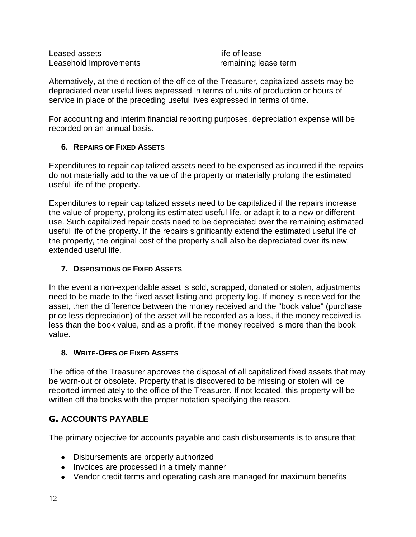Leased assets **Leased** assets Leasehold Improvements **remaining lease term** 

Alternatively, at the direction of the office of the Treasurer, capitalized assets may be depreciated over useful lives expressed in terms of units of production or hours of service in place of the preceding useful lives expressed in terms of time.

For accounting and interim financial reporting purposes, depreciation expense will be recorded on an annual basis.

#### <span id="page-11-0"></span>**6. REPAIRS OF FIXED ASSETS**

Expenditures to repair capitalized assets need to be expensed as incurred if the repairs do not materially add to the value of the property or materially prolong the estimated useful life of the property.

Expenditures to repair capitalized assets need to be capitalized if the repairs increase the value of property, prolong its estimated useful life, or adapt it to a new or different use. Such capitalized repair costs need to be depreciated over the remaining estimated useful life of the property. If the repairs significantly extend the estimated useful life of the property, the original cost of the property shall also be depreciated over its new, extended useful life.

#### <span id="page-11-1"></span>**7. DISPOSITIONS OF FIXED ASSETS**

In the event a non-expendable asset is sold, scrapped, donated or stolen, adjustments need to be made to the fixed asset listing and property log. If money is received for the asset, then the difference between the money received and the "book value" (purchase price less depreciation) of the asset will be recorded as a loss, if the money received is less than the book value, and as a profit, if the money received is more than the book value.

#### <span id="page-11-2"></span>**8. WRITE-OFFS OF FIXED ASSETS**

The office of the Treasurer approves the disposal of all capitalized fixed assets that may be worn-out or obsolete. Property that is discovered to be missing or stolen will be reported immediately to the office of the Treasurer. If not located, this property will be written off the books with the proper notation specifying the reason.

#### <span id="page-11-3"></span>**G. ACCOUNTS PAYABLE**

The primary objective for accounts payable and cash disbursements is to ensure that:

- Disbursements are properly authorized
- Invoices are processed in a timely manner
- Vendor credit terms and operating cash are managed for maximum benefits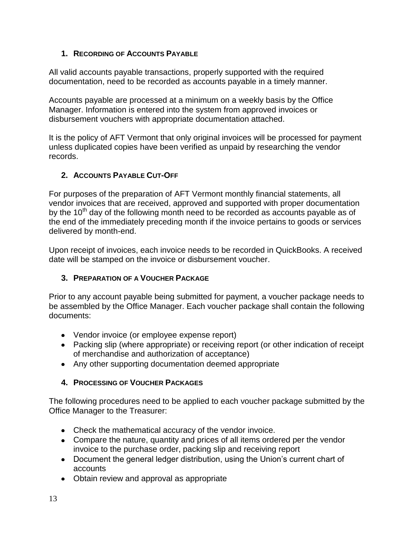#### <span id="page-12-0"></span>**1. RECORDING OF ACCOUNTS PAYABLE**

All valid accounts payable transactions, properly supported with the required documentation, need to be recorded as accounts payable in a timely manner.

Accounts payable are processed at a minimum on a weekly basis by the Office Manager. Information is entered into the system from approved invoices or disbursement vouchers with appropriate documentation attached.

It is the policy of AFT Vermont that only original invoices will be processed for payment unless duplicated copies have been verified as unpaid by researching the vendor records.

# <span id="page-12-1"></span>**2. ACCOUNTS PAYABLE CUT-OFF**

For purposes of the preparation of AFT Vermont monthly financial statements, all vendor invoices that are received, approved and supported with proper documentation by the  $10<sup>th</sup>$  day of the following month need to be recorded as accounts payable as of the end of the immediately preceding month if the invoice pertains to goods or services delivered by month-end.

Upon receipt of invoices, each invoice needs to be recorded in QuickBooks. A received date will be stamped on the invoice or disbursement voucher.

#### <span id="page-12-2"></span>**3. PREPARATION OF A VOUCHER PACKAGE**

Prior to any account payable being submitted for payment, a voucher package needs to be assembled by the Office Manager. Each voucher package shall contain the following documents:

- Vendor invoice (or employee expense report)
- Packing slip (where appropriate) or receiving report (or other indication of receipt of merchandise and authorization of acceptance)
- Any other supporting documentation deemed appropriate

# <span id="page-12-3"></span>**4. PROCESSING OF VOUCHER PACKAGES**

The following procedures need to be applied to each voucher package submitted by the Office Manager to the Treasurer:

- Check the mathematical accuracy of the vendor invoice.
- Compare the nature, quantity and prices of all items ordered per the vendor invoice to the purchase order, packing slip and receiving report
- Document the general ledger distribution, using the Union's current chart of accounts
- Obtain review and approval as appropriate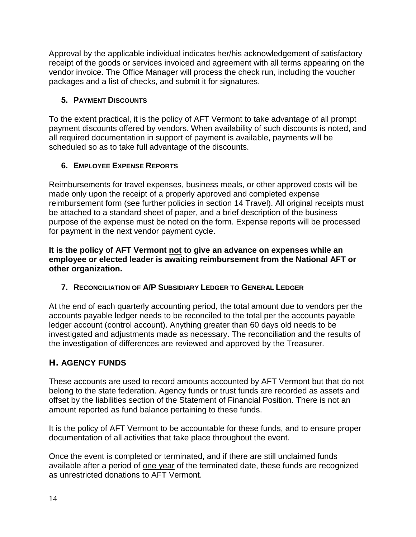Approval by the applicable individual indicates her/his acknowledgement of satisfactory receipt of the goods or services invoiced and agreement with all terms appearing on the vendor invoice. The Office Manager will process the check run, including the voucher packages and a list of checks, and submit it for signatures.

## <span id="page-13-0"></span>**5. PAYMENT DISCOUNTS**

To the extent practical, it is the policy of AFT Vermont to take advantage of all prompt payment discounts offered by vendors. When availability of such discounts is noted, and all required documentation in support of payment is available, payments will be scheduled so as to take full advantage of the discounts.

#### <span id="page-13-1"></span>**6. EMPLOYEE EXPENSE REPORTS**

Reimbursements for travel expenses, business meals, or other approved costs will be made only upon the receipt of a properly approved and completed expense reimbursement form (see further policies in section 14 Travel). All original receipts must be attached to a standard sheet of paper, and a brief description of the business purpose of the expense must be noted on the form. Expense reports will be processed for payment in the next vendor payment cycle.

**It is the policy of AFT Vermont not to give an advance on expenses while an employee or elected leader is awaiting reimbursement from the National AFT or other organization.** 

<span id="page-13-2"></span>**7. RECONCILIATION OF A/P SUBSIDIARY LEDGER TO GENERAL LEDGER**

At the end of each quarterly accounting period, the total amount due to vendors per the accounts payable ledger needs to be reconciled to the total per the accounts payable ledger account (control account). Anything greater than 60 days old needs to be investigated and adjustments made as necessary. The reconciliation and the results of the investigation of differences are reviewed and approved by the Treasurer.

# <span id="page-13-3"></span>**H. AGENCY FUNDS**

These accounts are used to record amounts accounted by AFT Vermont but that do not belong to the state federation. Agency funds or trust funds are recorded as assets and offset by the liabilities section of the Statement of Financial Position. There is not an amount reported as fund balance pertaining to these funds.

It is the policy of AFT Vermont to be accountable for these funds, and to ensure proper documentation of all activities that take place throughout the event.

Once the event is completed or terminated, and if there are still unclaimed funds available after a period of one year of the terminated date, these funds are recognized as unrestricted donations to AFT Vermont.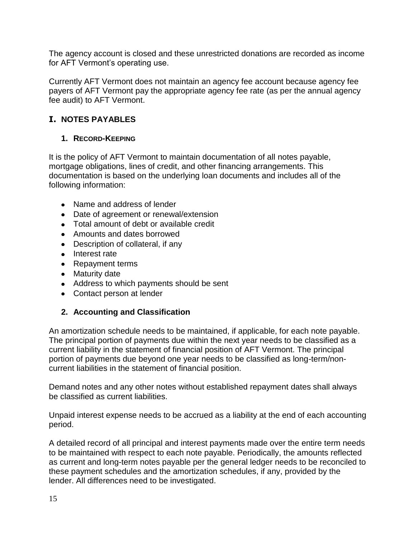The agency account is closed and these unrestricted donations are recorded as income for AFT Vermont's operating use.

Currently AFT Vermont does not maintain an agency fee account because agency fee payers of AFT Vermont pay the appropriate agency fee rate (as per the annual agency fee audit) to AFT Vermont.

# <span id="page-14-0"></span>**I. NOTES PAYABLES**

#### <span id="page-14-1"></span>**1. RECORD-KEEPING**

It is the policy of AFT Vermont to maintain documentation of all notes payable, mortgage obligations, lines of credit, and other financing arrangements. This documentation is based on the underlying loan documents and includes all of the following information:

- Name and address of lender
- Date of agreement or renewal/extension
- Total amount of debt or available credit
- Amounts and dates borrowed
- Description of collateral, if any
- Interest rate
- Repayment terms
- Maturity date
- Address to which payments should be sent
- Contact person at lender

#### <span id="page-14-2"></span>**2. Accounting and Classification**

An amortization schedule needs to be maintained, if applicable, for each note payable. The principal portion of payments due within the next year needs to be classified as a current liability in the statement of financial position of AFT Vermont. The principal portion of payments due beyond one year needs to be classified as long-term/noncurrent liabilities in the statement of financial position.

Demand notes and any other notes without established repayment dates shall always be classified as current liabilities.

Unpaid interest expense needs to be accrued as a liability at the end of each accounting period.

A detailed record of all principal and interest payments made over the entire term needs to be maintained with respect to each note payable. Periodically, the amounts reflected as current and long-term notes payable per the general ledger needs to be reconciled to these payment schedules and the amortization schedules, if any, provided by the lender. All differences need to be investigated.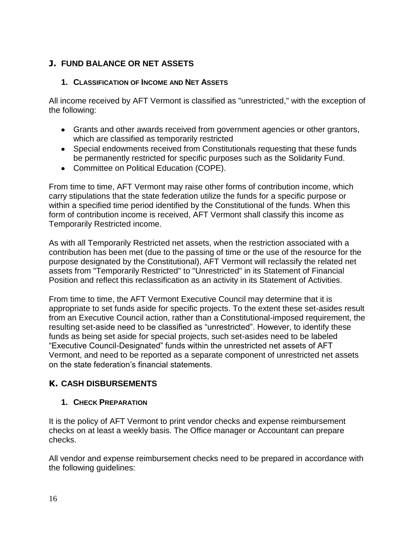# <span id="page-15-0"></span>**J. FUND BALANCE OR NET ASSETS**

#### <span id="page-15-1"></span>**1. CLASSIFICATION OF INCOME AND NET ASSETS**

All income received by AFT Vermont is classified as "unrestricted," with the exception of the following:

- Grants and other awards received from government agencies or other grantors, which are classified as temporarily restricted
- Special endowments received from Constitutionals requesting that these funds be permanently restricted for specific purposes such as the Solidarity Fund.
- Committee on Political Education (COPE).

From time to time, AFT Vermont may raise other forms of contribution income, which carry stipulations that the state federation utilize the funds for a specific purpose or within a specified time period identified by the Constitutional of the funds. When this form of contribution income is received, AFT Vermont shall classify this income as Temporarily Restricted income.

As with all Temporarily Restricted net assets, when the restriction associated with a contribution has been met (due to the passing of time or the use of the resource for the purpose designated by the Constitutional), AFT Vermont will reclassify the related net assets from "Temporarily Restricted" to "Unrestricted" in its Statement of Financial Position and reflect this reclassification as an activity in its Statement of Activities.

From time to time, the AFT Vermont Executive Council may determine that it is appropriate to set funds aside for specific projects. To the extent these set-asides result from an Executive Council action, rather than a Constitutional-imposed requirement, the resulting set-aside need to be classified as "unrestricted". However, to identify these funds as being set aside for special projects, such set-asides need to be labeled "Executive Council-Designated" funds within the unrestricted net assets of AFT Vermont, and need to be reported as a separate component of unrestricted net assets on the state federation's financial statements.

# <span id="page-15-2"></span>**K. CASH DISBURSEMENTS**

#### <span id="page-15-3"></span>**1. CHECK PREPARATION**

It is the policy of AFT Vermont to print vendor checks and expense reimbursement checks on at least a weekly basis. The Office manager or Accountant can prepare checks.

All vendor and expense reimbursement checks need to be prepared in accordance with the following guidelines: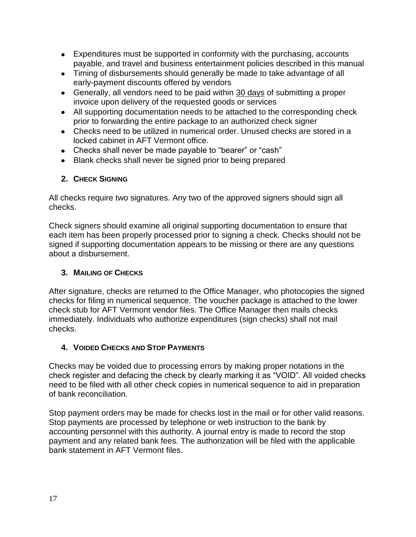- Expenditures must be supported in conformity with the purchasing, accounts payable, and travel and business entertainment policies described in this manual
- Timing of disbursements should generally be made to take advantage of all early-payment discounts offered by vendors
- Generally, all vendors need to be paid within 30 days of submitting a proper invoice upon delivery of the requested goods or services
- All supporting documentation needs to be attached to the corresponding check prior to forwarding the entire package to an authorized check signer
- Checks need to be utilized in numerical order. Unused checks are stored in a locked cabinet in AFT Vermont office.
- Checks shall never be made payable to "bearer" or "cash"
- Blank checks shall never be signed prior to being prepared

#### <span id="page-16-0"></span>**2. CHECK SIGNING**

All checks require two signatures. Any two of the approved signers should sign all checks.

Check signers should examine all original supporting documentation to ensure that each item has been properly processed prior to signing a check. Checks should not be signed if supporting documentation appears to be missing or there are any questions about a disbursement.

## <span id="page-16-1"></span>**3. MAILING OF CHECKS**

After signature, checks are returned to the Office Manager, who photocopies the signed checks for filing in numerical sequence. The voucher package is attached to the lower check stub for AFT Vermont vendor files. The Office Manager then mails checks immediately. Individuals who authorize expenditures (sign checks) shall not mail checks.

#### <span id="page-16-2"></span>**4. VOIDED CHECKS AND STOP PAYMENTS**

Checks may be voided due to processing errors by making proper notations in the check register and defacing the check by clearly marking it as "VOID". All voided checks need to be filed with all other check copies in numerical sequence to aid in preparation of bank reconciliation.

Stop payment orders may be made for checks lost in the mail or for other valid reasons. Stop payments are processed by telephone or web instruction to the bank by accounting personnel with this authority. A journal entry is made to record the stop payment and any related bank fees. The authorization will be filed with the applicable bank statement in AFT Vermont files.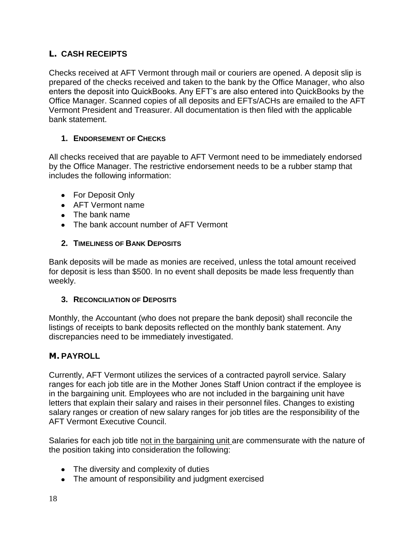# <span id="page-17-0"></span>**L. CASH RECEIPTS**

Checks received at AFT Vermont through mail or couriers are opened. A deposit slip is prepared of the checks received and taken to the bank by the Office Manager, who also enters the deposit into QuickBooks. Any EFT's are also entered into QuickBooks by the Office Manager. Scanned copies of all deposits and EFTs/ACHs are emailed to the AFT Vermont President and Treasurer. All documentation is then filed with the applicable bank statement.

#### <span id="page-17-1"></span>**1. ENDORSEMENT OF CHECKS**

All checks received that are payable to AFT Vermont need to be immediately endorsed by the Office Manager. The restrictive endorsement needs to be a rubber stamp that includes the following information:

- For Deposit Only
- AFT Vermont name
- The bank name
- The bank account number of AFT Vermont

#### <span id="page-17-2"></span>**2. TIMELINESS OF BANK DEPOSITS**

Bank deposits will be made as monies are received, unless the total amount received for deposit is less than \$500. In no event shall deposits be made less frequently than weekly.

#### <span id="page-17-3"></span>**3. RECONCILIATION OF DEPOSITS**

Monthly, the Accountant (who does not prepare the bank deposit) shall reconcile the listings of receipts to bank deposits reflected on the monthly bank statement. Any discrepancies need to be immediately investigated.

# <span id="page-17-4"></span>**M. PAYROLL**

Currently, AFT Vermont utilizes the services of a contracted payroll service. Salary ranges for each job title are in the Mother Jones Staff Union contract if the employee is in the bargaining unit. Employees who are not included in the bargaining unit have letters that explain their salary and raises in their personnel files. Changes to existing salary ranges or creation of new salary ranges for job titles are the responsibility of the AFT Vermont Executive Council.

Salaries for each job title not in the bargaining unit are commensurate with the nature of the position taking into consideration the following:

- The diversity and complexity of duties
- The amount of responsibility and judgment exercised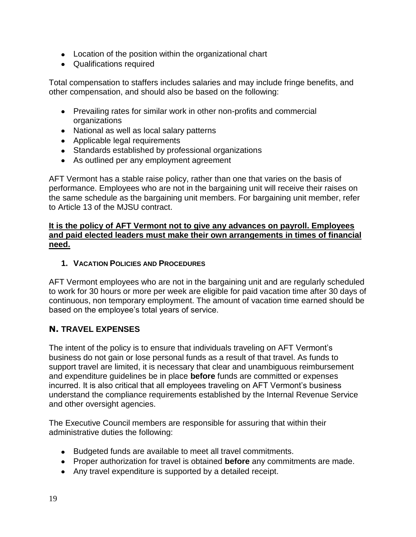- Location of the position within the organizational chart
- Qualifications required

Total compensation to staffers includes salaries and may include fringe benefits, and other compensation, and should also be based on the following:

- Prevailing rates for similar work in other non-profits and commercial organizations
- National as well as local salary patterns
- Applicable legal requirements
- Standards established by professional organizations
- As outlined per any employment agreement

AFT Vermont has a stable raise policy, rather than one that varies on the basis of performance. Employees who are not in the bargaining unit will receive their raises on the same schedule as the bargaining unit members. For bargaining unit member, refer to Article 13 of the MJSU contract.

#### **It is the policy of AFT Vermont not to give any advances on payroll. Employees and paid elected leaders must make their own arrangements in times of financial need.**

#### <span id="page-18-0"></span>**1. VACATION POLICIES AND PROCEDURES**

AFT Vermont employees who are not in the bargaining unit and are regularly scheduled to work for 30 hours or more per week are eligible for paid vacation time after 30 days of continuous, non temporary employment. The amount of vacation time earned should be based on the employee's total years of service.

#### <span id="page-18-1"></span>**N. TRAVEL EXPENSES**

The intent of the policy is to ensure that individuals traveling on AFT Vermont's business do not gain or lose personal funds as a result of that travel. As funds to support travel are limited, it is necessary that clear and unambiguous reimbursement and expenditure guidelines be in place **before** funds are committed or expenses incurred. It is also critical that all employees traveling on AFT Vermont's business understand the compliance requirements established by the Internal Revenue Service and other oversight agencies.

The Executive Council members are responsible for assuring that within their administrative duties the following:

- Budgeted funds are available to meet all travel commitments.
- Proper authorization for travel is obtained **before** any commitments are made.
- Any travel expenditure is supported by a detailed receipt.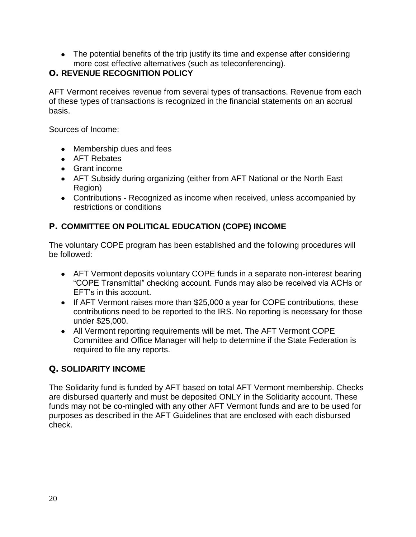• The potential benefits of the trip justify its time and expense after considering more cost effective alternatives (such as teleconferencing).

# <span id="page-19-0"></span>**O. REVENUE RECOGNITION POLICY**

AFT Vermont receives revenue from several types of transactions. Revenue from each of these types of transactions is recognized in the financial statements on an accrual basis.

Sources of Income:

- Membership dues and fees
- AFT Rebates
- Grant income
- AFT Subsidy during organizing (either from AFT National or the North East Region)
- Contributions Recognized as income when received, unless accompanied by restrictions or conditions

# <span id="page-19-1"></span>**P. COMMITTEE ON POLITICAL EDUCATION (COPE) INCOME**

The voluntary COPE program has been established and the following procedures will be followed:

- AFT Vermont deposits voluntary COPE funds in a separate non-interest bearing "COPE Transmittal" checking account. Funds may also be received via ACHs or EFT's in this account.
- If AFT Vermont raises more than \$25,000 a year for COPE contributions, these contributions need to be reported to the IRS. No reporting is necessary for those under \$25,000.
- All Vermont reporting requirements will be met. The AFT Vermont COPE Committee and Office Manager will help to determine if the State Federation is required to file any reports.

# <span id="page-19-2"></span>**Q. SOLIDARITY INCOME**

The Solidarity fund is funded by AFT based on total AFT Vermont membership. Checks are disbursed quarterly and must be deposited ONLY in the Solidarity account. These funds may not be co-mingled with any other AFT Vermont funds and are to be used for purposes as described in the AFT Guidelines that are enclosed with each disbursed check.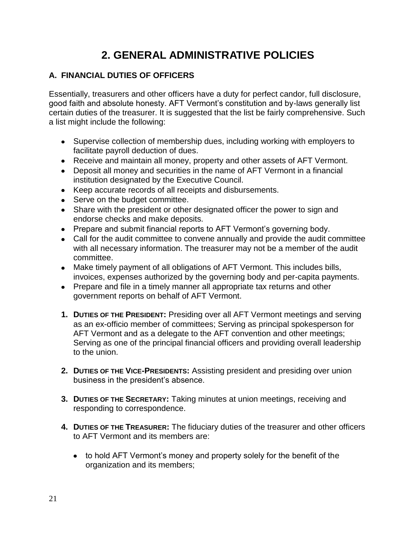# <span id="page-20-0"></span>**2. GENERAL ADMINISTRATIVE POLICIES**

# <span id="page-20-1"></span>**A. FINANCIAL DUTIES OF OFFICERS**

Essentially, treasurers and other officers have a duty for perfect candor, full disclosure, good faith and absolute honesty. AFT Vermont's constitution and by-laws generally list certain duties of the treasurer. It is suggested that the list be fairly comprehensive. Such a list might include the following:

- Supervise collection of membership dues, including working with employers to facilitate payroll deduction of dues.
- Receive and maintain all money, property and other assets of AFT Vermont.
- Deposit all money and securities in the name of AFT Vermont in a financial institution designated by the Executive Council.
- Keep accurate records of all receipts and disbursements.
- Serve on the budget committee.
- Share with the president or other designated officer the power to sign and endorse checks and make deposits.
- Prepare and submit financial reports to AFT Vermont's governing body.
- Call for the audit committee to convene annually and provide the audit committee with all necessary information. The treasurer may not be a member of the audit committee.
- Make timely payment of all obligations of AFT Vermont. This includes bills, invoices, expenses authorized by the governing body and per-capita payments.
- Prepare and file in a timely manner all appropriate tax returns and other government reports on behalf of AFT Vermont.
- <span id="page-20-2"></span>**1. DUTIES OF THE PRESIDENT:** Presiding over all AFT Vermont meetings and serving as an ex-officio member of committees; Serving as principal spokesperson for AFT Vermont and as a delegate to the AFT convention and other meetings; Serving as one of the principal financial officers and providing overall leadership to the union.
- <span id="page-20-3"></span>**2. DUTIES OF THE VICE-PRESIDENTS:** Assisting president and presiding over union business in the president's absence.
- <span id="page-20-4"></span>**3. DUTIES OF THE SECRETARY:** Taking minutes at union meetings, receiving and responding to correspondence.
- <span id="page-20-5"></span>**4. DUTIES OF THE TREASURER:** The fiduciary duties of the treasurer and other officers to AFT Vermont and its members are:
	- to hold AFT Vermont's money and property solely for the benefit of the organization and its members;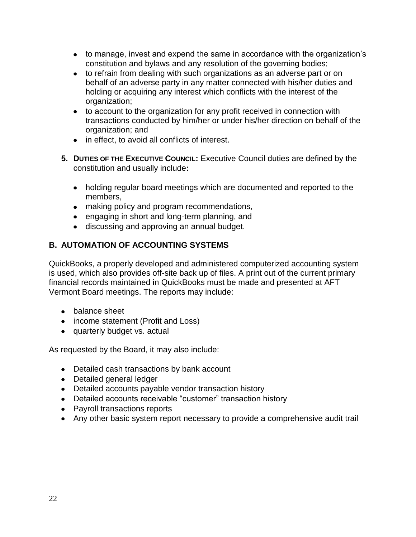- to manage, invest and expend the same in accordance with the organization's constitution and bylaws and any resolution of the governing bodies;
- to refrain from dealing with such organizations as an adverse part or on behalf of an adverse party in any matter connected with his/her duties and holding or acquiring any interest which conflicts with the interest of the organization;
- to account to the organization for any profit received in connection with transactions conducted by him/her or under his/her direction on behalf of the organization; and
- in effect, to avoid all conflicts of interest.
- <span id="page-21-0"></span>**5. DUTIES OF THE EXECUTIVE COUNCIL:** Executive Council duties are defined by the constitution and usually include**:** 
	- holding regular board meetings which are documented and reported to the members,
	- making policy and program recommendations,
	- engaging in short and long-term planning, and
	- discussing and approving an annual budget.

#### <span id="page-21-1"></span>**B. AUTOMATION OF ACCOUNTING SYSTEMS**

QuickBooks, a properly developed and administered computerized accounting system is used, which also provides off-site back up of files. A print out of the current primary financial records maintained in QuickBooks must be made and presented at AFT Vermont Board meetings. The reports may include:

- balance sheet
- income statement (Profit and Loss)
- quarterly budget vs. actual

As requested by the Board, it may also include:

- Detailed cash transactions by bank account
- Detailed general ledger
- Detailed accounts payable vendor transaction history
- Detailed accounts receivable "customer" transaction history
- Payroll transactions reports
- Any other basic system report necessary to provide a comprehensive audit trail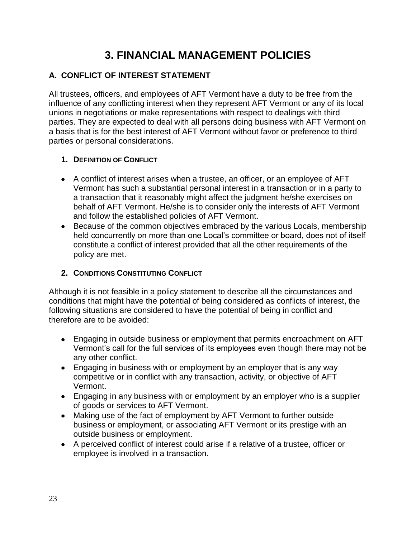# <span id="page-22-0"></span>**3. FINANCIAL MANAGEMENT POLICIES**

# <span id="page-22-1"></span>**A. CONFLICT OF INTEREST STATEMENT**

All trustees, officers, and employees of AFT Vermont have a duty to be free from the influence of any conflicting interest when they represent AFT Vermont or any of its local unions in negotiations or make representations with respect to dealings with third parties. They are expected to deal with all persons doing business with AFT Vermont on a basis that is for the best interest of AFT Vermont without favor or preference to third parties or personal considerations.

#### <span id="page-22-2"></span>**1. DEFINITION OF CONFLICT**

- A conflict of interest arises when a trustee, an officer, or an employee of AFT Vermont has such a substantial personal interest in a transaction or in a party to a transaction that it reasonably might affect the judgment he/she exercises on behalf of AFT Vermont. He/she is to consider only the interests of AFT Vermont and follow the established policies of AFT Vermont.
- Because of the common objectives embraced by the various Locals, membership held concurrently on more than one Local's committee or board, does not of itself constitute a conflict of interest provided that all the other requirements of the policy are met.

#### <span id="page-22-3"></span>**2. CONDITIONS CONSTITUTING CONFLICT**

Although it is not feasible in a policy statement to describe all the circumstances and conditions that might have the potential of being considered as conflicts of interest, the following situations are considered to have the potential of being in conflict and therefore are to be avoided:

- Engaging in outside business or employment that permits encroachment on AFT Vermont's call for the full services of its employees even though there may not be any other conflict.
- Engaging in business with or employment by an employer that is any way competitive or in conflict with any transaction, activity, or objective of AFT Vermont.
- Engaging in any business with or employment by an employer who is a supplier of goods or services to AFT Vermont.
- Making use of the fact of employment by AFT Vermont to further outside business or employment, or associating AFT Vermont or its prestige with an outside business or employment.
- A perceived conflict of interest could arise if a relative of a trustee, officer or employee is involved in a transaction.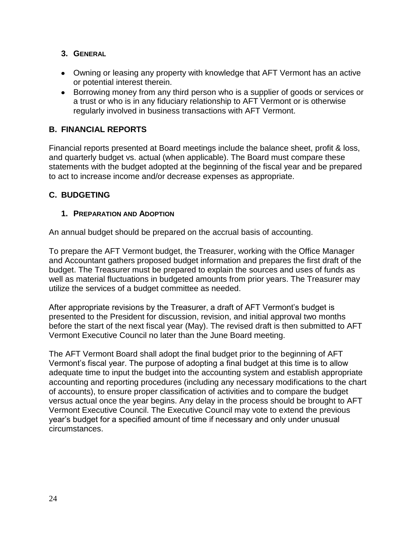#### <span id="page-23-0"></span>**3. GENERAL**

- Owning or leasing any property with knowledge that AFT Vermont has an active or potential interest therein.
- Borrowing money from any third person who is a supplier of goods or services or a trust or who is in any fiduciary relationship to AFT Vermont or is otherwise regularly involved in business transactions with AFT Vermont.

#### <span id="page-23-1"></span>**B. FINANCIAL REPORTS**

Financial reports presented at Board meetings include the balance sheet, profit & loss, and quarterly budget vs. actual (when applicable). The Board must compare these statements with the budget adopted at the beginning of the fiscal year and be prepared to act to increase income and/or decrease expenses as appropriate.

#### <span id="page-23-2"></span>**C. BUDGETING**

#### <span id="page-23-3"></span>**1. PREPARATION AND ADOPTION**

An annual budget should be prepared on the accrual basis of accounting.

To prepare the AFT Vermont budget, the Treasurer, working with the Office Manager and Accountant gathers proposed budget information and prepares the first draft of the budget. The Treasurer must be prepared to explain the sources and uses of funds as well as material fluctuations in budgeted amounts from prior years. The Treasurer may utilize the services of a budget committee as needed.

After appropriate revisions by the Treasurer, a draft of AFT Vermont's budget is presented to the President for discussion, revision, and initial approval two months before the start of the next fiscal year (May). The revised draft is then submitted to AFT Vermont Executive Council no later than the June Board meeting.

The AFT Vermont Board shall adopt the final budget prior to the beginning of AFT Vermont's fiscal year. The purpose of adopting a final budget at this time is to allow adequate time to input the budget into the accounting system and establish appropriate accounting and reporting procedures (including any necessary modifications to the chart of accounts), to ensure proper classification of activities and to compare the budget versus actual once the year begins. Any delay in the process should be brought to AFT Vermont Executive Council. The Executive Council may vote to extend the previous year's budget for a specified amount of time if necessary and only under unusual circumstances.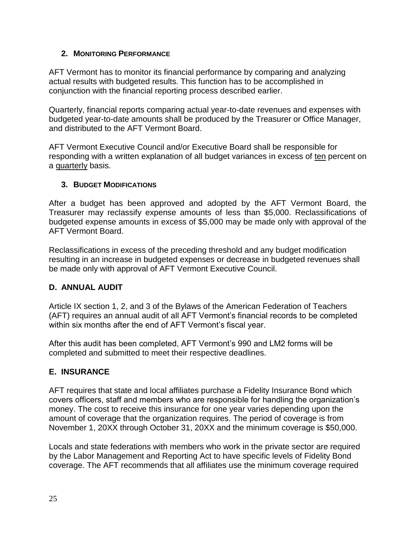#### <span id="page-24-0"></span>**2. MONITORING PERFORMANCE**

AFT Vermont has to monitor its financial performance by comparing and analyzing actual results with budgeted results. This function has to be accomplished in conjunction with the financial reporting process described earlier.

Quarterly, financial reports comparing actual year-to-date revenues and expenses with budgeted year-to-date amounts shall be produced by the Treasurer or Office Manager, and distributed to the AFT Vermont Board.

AFT Vermont Executive Council and/or Executive Board shall be responsible for responding with a written explanation of all budget variances in excess of ten percent on a quarterly basis.

#### <span id="page-24-1"></span>**3. BUDGET MODIFICATIONS**

After a budget has been approved and adopted by the AFT Vermont Board, the Treasurer may reclassify expense amounts of less than \$5,000. Reclassifications of budgeted expense amounts in excess of \$5,000 may be made only with approval of the AFT Vermont Board.

Reclassifications in excess of the preceding threshold and any budget modification resulting in an increase in budgeted expenses or decrease in budgeted revenues shall be made only with approval of AFT Vermont Executive Council.

#### <span id="page-24-2"></span>**D. ANNUAL AUDIT**

Article IX section 1, 2, and 3 of the Bylaws of the American Federation of Teachers (AFT) requires an annual audit of all AFT Vermont's financial records to be completed within six months after the end of AFT Vermont's fiscal year.

After this audit has been completed, AFT Vermont's 990 and LM2 forms will be completed and submitted to meet their respective deadlines.

#### <span id="page-24-3"></span>**E. INSURANCE**

AFT requires that state and local affiliates purchase a Fidelity Insurance Bond which covers officers, staff and members who are responsible for handling the organization's money. The cost to receive this insurance for one year varies depending upon the amount of coverage that the organization requires. The period of coverage is from November 1, 20XX through October 31, 20XX and the minimum coverage is \$50,000.

Locals and state federations with members who work in the private sector are required by the Labor Management and Reporting Act to have specific levels of Fidelity Bond coverage. The AFT recommends that all affiliates use the minimum coverage required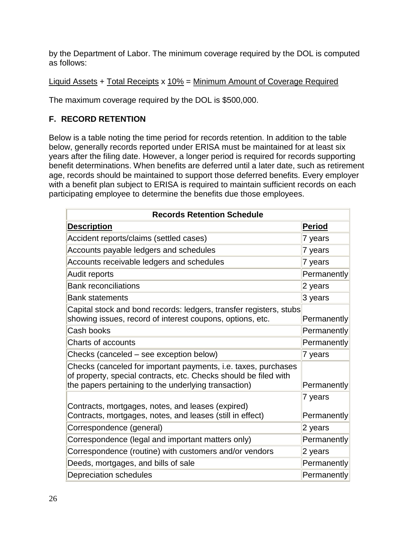by the Department of Labor. The minimum coverage required by the DOL is computed as follows:

#### Liquid Assets + Total Receipts x 10% = Minimum Amount of Coverage Required

The maximum coverage required by the DOL is \$500,000.

# <span id="page-25-0"></span>**F. RECORD RETENTION**

Below is a table noting the time period for records retention. In addition to the table below, generally records reported under ERISA must be maintained for at least six years after the filing date. However, a longer period is required for records supporting benefit determinations. When benefits are deferred until a later date, such as retirement age, records should be maintained to support those deferred benefits. Every employer with a benefit plan subject to ERISA is required to maintain sufficient records on each participating employee to determine the benefits due those employees.

| <b>Records Retention Schedule</b>                                                                                                                                                          |                        |  |
|--------------------------------------------------------------------------------------------------------------------------------------------------------------------------------------------|------------------------|--|
| <b>Description</b>                                                                                                                                                                         | Period                 |  |
| Accident reports/claims (settled cases)                                                                                                                                                    | 7 years                |  |
| Accounts payable ledgers and schedules                                                                                                                                                     | 7 years                |  |
| Accounts receivable ledgers and schedules                                                                                                                                                  | 7 years                |  |
| Audit reports                                                                                                                                                                              | Permanently            |  |
| <b>Bank reconciliations</b>                                                                                                                                                                | 2 years                |  |
| <b>Bank statements</b>                                                                                                                                                                     | 3 years                |  |
| Capital stock and bond records: ledgers, transfer registers, stubs<br>showing issues, record of interest coupons, options, etc.                                                            | Permanently            |  |
| Cash books                                                                                                                                                                                 | Permanently            |  |
| <b>Charts of accounts</b>                                                                                                                                                                  | Permanently            |  |
| Checks (canceled – see exception below)                                                                                                                                                    | 7 years                |  |
| Checks (canceled for important payments, i.e. taxes, purchases<br>of property, special contracts, etc. Checks should be filed with<br>the papers pertaining to the underlying transaction) | Permanently            |  |
| Contracts, mortgages, notes, and leases (expired)<br>Contracts, mortgages, notes, and leases (still in effect)                                                                             | 7 years<br>Permanently |  |
| Correspondence (general)                                                                                                                                                                   | $2$ years              |  |
| Correspondence (legal and important matters only)                                                                                                                                          | Permanently            |  |
| Correspondence (routine) with customers and/or vendors                                                                                                                                     | 2 years                |  |
| Deeds, mortgages, and bills of sale                                                                                                                                                        | Permanently            |  |
| Depreciation schedules                                                                                                                                                                     | Permanently            |  |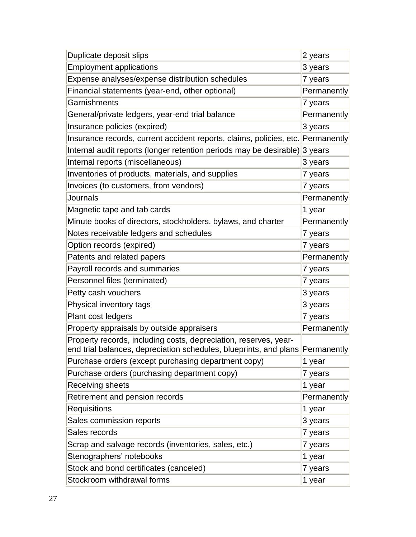| Duplicate deposit slips                                                                                                                           | 2 years     |
|---------------------------------------------------------------------------------------------------------------------------------------------------|-------------|
| <b>Employment applications</b>                                                                                                                    | 3 years     |
| Expense analyses/expense distribution schedules                                                                                                   | 7 years     |
| Financial statements (year-end, other optional)                                                                                                   | Permanently |
| Garnishments                                                                                                                                      | 7 years     |
| General/private ledgers, year-end trial balance                                                                                                   | Permanently |
| Insurance policies (expired)                                                                                                                      | 3 years     |
| Insurance records, current accident reports, claims, policies, etc. Permanently                                                                   |             |
| Internal audit reports (longer retention periods may be desirable)                                                                                | 3 years     |
| Internal reports (miscellaneous)                                                                                                                  | 3 years     |
| Inventories of products, materials, and supplies                                                                                                  | 7 years     |
| Invoices (to customers, from vendors)                                                                                                             | 7 years     |
| Journals                                                                                                                                          | Permanently |
| Magnetic tape and tab cards                                                                                                                       | 1 year      |
| Minute books of directors, stockholders, bylaws, and charter                                                                                      | Permanently |
| Notes receivable ledgers and schedules                                                                                                            | 7 years     |
| Option records (expired)                                                                                                                          | 7 years     |
| Patents and related papers                                                                                                                        | Permanently |
| Payroll records and summaries                                                                                                                     | 7 years     |
| Personnel files (terminated)                                                                                                                      | 7 years     |
| Petty cash vouchers                                                                                                                               | 3 years     |
| Physical inventory tags                                                                                                                           | 3 years     |
| Plant cost ledgers                                                                                                                                | 7 years     |
| Property appraisals by outside appraisers                                                                                                         | Permanently |
| Property records, including costs, depreciation, reserves, year-<br>end trial balances, depreciation schedules, blueprints, and plans Permanently |             |
| Purchase orders (except purchasing department copy)                                                                                               | 1 year      |
| Purchase orders (purchasing department copy)                                                                                                      | 7 years     |
| Receiving sheets                                                                                                                                  | 1 year      |
| Retirement and pension records                                                                                                                    | Permanently |
| <b>Requisitions</b>                                                                                                                               | 1 year      |
| Sales commission reports                                                                                                                          | 3 years     |
| Sales records                                                                                                                                     | 7 years     |
| Scrap and salvage records (inventories, sales, etc.)                                                                                              | 7 years     |
| Stenographers' notebooks                                                                                                                          | 1 year      |
| Stock and bond certificates (canceled)                                                                                                            | 7 years     |
| Stockroom withdrawal forms                                                                                                                        | 1 year      |